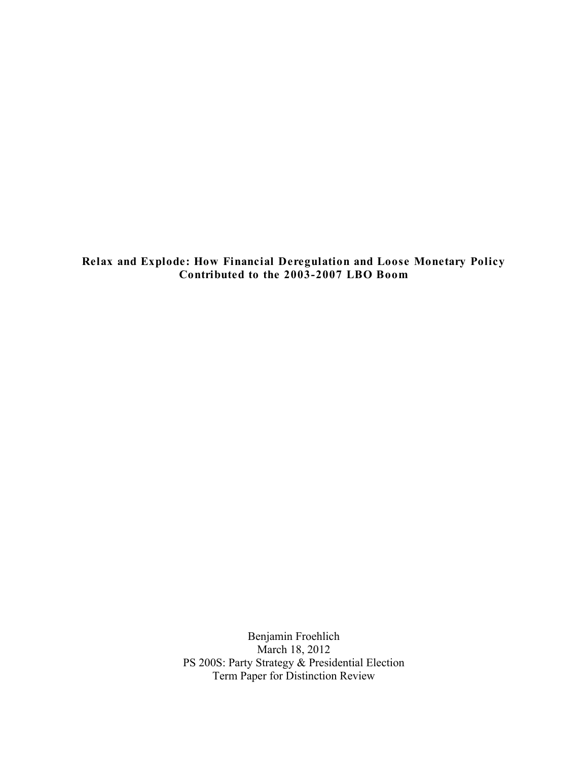**Relax and Explode: How Financial Deregulation and Loose Monetary Policy Contributed to the 2003-2007 LBO Boom**

> Benjamin Froehlich March 18, 2012 PS 200S: Party Strategy & Presidential Election Term Paper for Distinction Review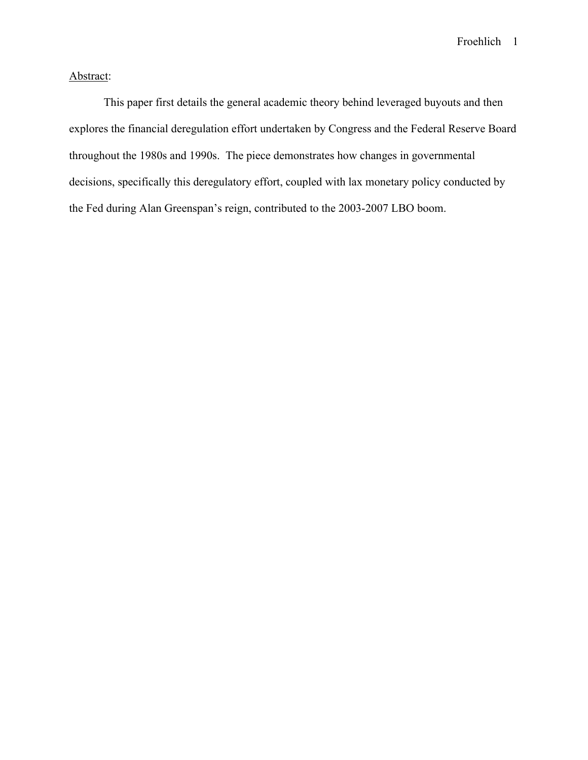# Abstract:

This paper first details the general academic theory behind leveraged buyouts and then explores the financial deregulation effort undertaken by Congress and the Federal Reserve Board throughout the 1980s and 1990s. The piece demonstrates how changes in governmental decisions, specifically this deregulatory effort, coupled with lax monetary policy conducted by the Fed during Alan Greenspan's reign, contributed to the 2003-2007 LBO boom.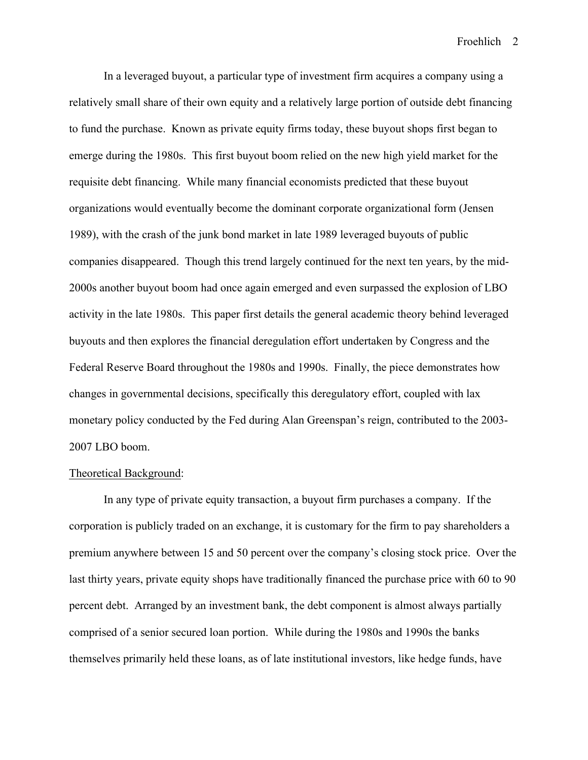In a leveraged buyout, a particular type of investment firm acquires a company using a relatively small share of their own equity and a relatively large portion of outside debt financing to fund the purchase. Known as private equity firms today, these buyout shops first began to emerge during the 1980s. This first buyout boom relied on the new high yield market for the requisite debt financing. While many financial economists predicted that these buyout organizations would eventually become the dominant corporate organizational form (Jensen 1989), with the crash of the junk bond market in late 1989 leveraged buyouts of public companies disappeared. Though this trend largely continued for the next ten years, by the mid-2000s another buyout boom had once again emerged and even surpassed the explosion of LBO activity in the late 1980s. This paper first details the general academic theory behind leveraged buyouts and then explores the financial deregulation effort undertaken by Congress and the Federal Reserve Board throughout the 1980s and 1990s. Finally, the piece demonstrates how changes in governmental decisions, specifically this deregulatory effort, coupled with lax monetary policy conducted by the Fed during Alan Greenspan's reign, contributed to the 2003- 2007 LBO boom.

#### Theoretical Background:

In any type of private equity transaction, a buyout firm purchases a company. If the corporation is publicly traded on an exchange, it is customary for the firm to pay shareholders a premium anywhere between 15 and 50 percent over the company's closing stock price. Over the last thirty years, private equity shops have traditionally financed the purchase price with 60 to 90 percent debt. Arranged by an investment bank, the debt component is almost always partially comprised of a senior secured loan portion. While during the 1980s and 1990s the banks themselves primarily held these loans, as of late institutional investors, like hedge funds, have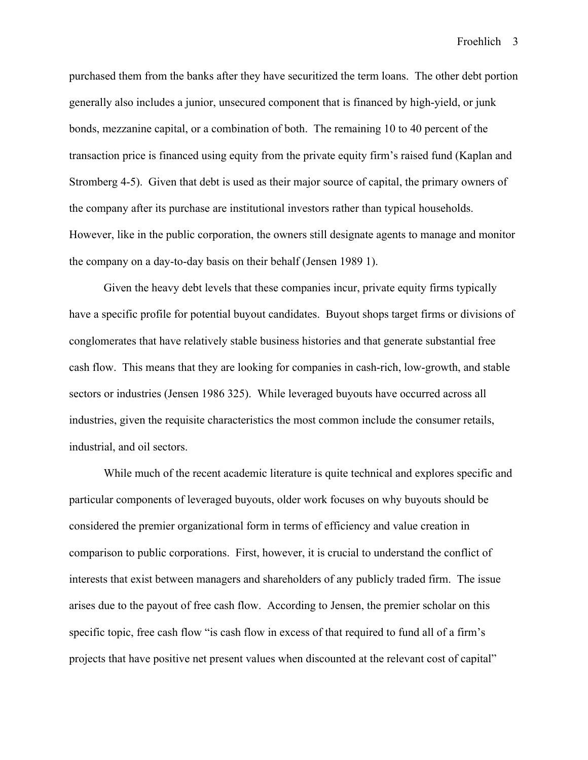purchased them from the banks after they have securitized the term loans. The other debt portion generally also includes a junior, unsecured component that is financed by high-yield, or junk bonds, mezzanine capital, or a combination of both. The remaining 10 to 40 percent of the transaction price is financed using equity from the private equity firm's raised fund (Kaplan and Stromberg 4-5). Given that debt is used as their major source of capital, the primary owners of the company after its purchase are institutional investors rather than typical households. However, like in the public corporation, the owners still designate agents to manage and monitor the company on a day-to-day basis on their behalf (Jensen 1989 1).

Given the heavy debt levels that these companies incur, private equity firms typically have a specific profile for potential buyout candidates. Buyout shops target firms or divisions of conglomerates that have relatively stable business histories and that generate substantial free cash flow. This means that they are looking for companies in cash-rich, low-growth, and stable sectors or industries (Jensen 1986 325). While leveraged buyouts have occurred across all industries, given the requisite characteristics the most common include the consumer retails, industrial, and oil sectors.

While much of the recent academic literature is quite technical and explores specific and particular components of leveraged buyouts, older work focuses on why buyouts should be considered the premier organizational form in terms of efficiency and value creation in comparison to public corporations. First, however, it is crucial to understand the conflict of interests that exist between managers and shareholders of any publicly traded firm. The issue arises due to the payout of free cash flow. According to Jensen, the premier scholar on this specific topic, free cash flow "is cash flow in excess of that required to fund all of a firm's projects that have positive net present values when discounted at the relevant cost of capital"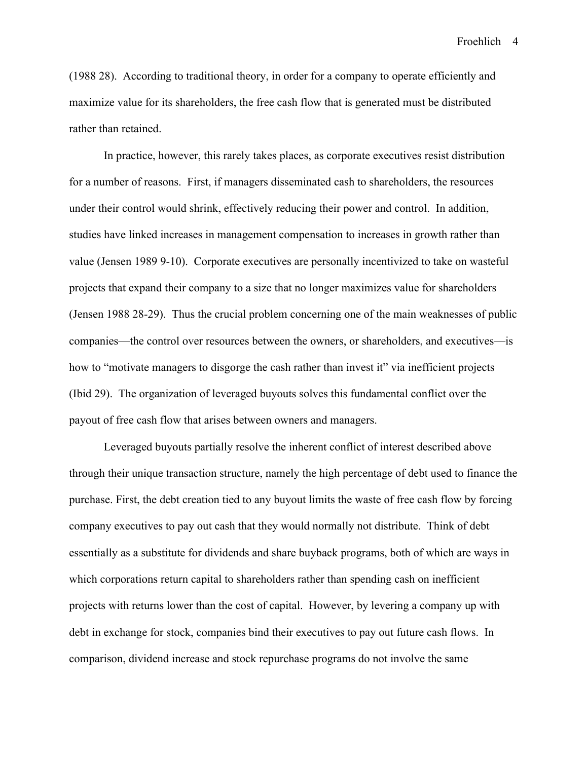(1988 28). According to traditional theory, in order for a company to operate efficiently and maximize value for its shareholders, the free cash flow that is generated must be distributed rather than retained.

In practice, however, this rarely takes places, as corporate executives resist distribution for a number of reasons. First, if managers disseminated cash to shareholders, the resources under their control would shrink, effectively reducing their power and control. In addition, studies have linked increases in management compensation to increases in growth rather than value (Jensen 1989 9-10). Corporate executives are personally incentivized to take on wasteful projects that expand their company to a size that no longer maximizes value for shareholders (Jensen 1988 28-29). Thus the crucial problem concerning one of the main weaknesses of public companies—the control over resources between the owners, or shareholders, and executives—is how to "motivate managers to disgorge the cash rather than invest it" via inefficient projects (Ibid 29). The organization of leveraged buyouts solves this fundamental conflict over the payout of free cash flow that arises between owners and managers.

Leveraged buyouts partially resolve the inherent conflict of interest described above through their unique transaction structure, namely the high percentage of debt used to finance the purchase. First, the debt creation tied to any buyout limits the waste of free cash flow by forcing company executives to pay out cash that they would normally not distribute. Think of debt essentially as a substitute for dividends and share buyback programs, both of which are ways in which corporations return capital to shareholders rather than spending cash on inefficient projects with returns lower than the cost of capital. However, by levering a company up with debt in exchange for stock, companies bind their executives to pay out future cash flows. In comparison, dividend increase and stock repurchase programs do not involve the same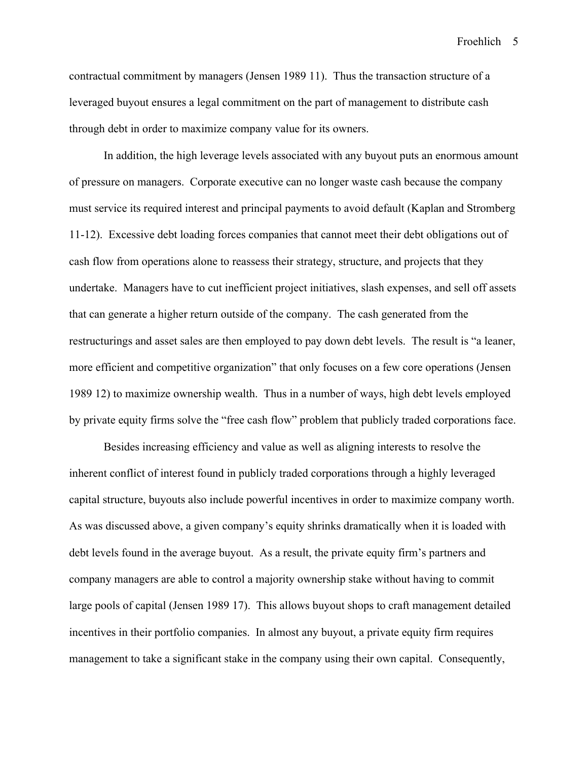contractual commitment by managers (Jensen 1989 11). Thus the transaction structure of a leveraged buyout ensures a legal commitment on the part of management to distribute cash through debt in order to maximize company value for its owners.

In addition, the high leverage levels associated with any buyout puts an enormous amount of pressure on managers. Corporate executive can no longer waste cash because the company must service its required interest and principal payments to avoid default (Kaplan and Stromberg 11-12). Excessive debt loading forces companies that cannot meet their debt obligations out of cash flow from operations alone to reassess their strategy, structure, and projects that they undertake. Managers have to cut inefficient project initiatives, slash expenses, and sell off assets that can generate a higher return outside of the company. The cash generated from the restructurings and asset sales are then employed to pay down debt levels. The result is "a leaner, more efficient and competitive organization" that only focuses on a few core operations (Jensen 1989 12) to maximize ownership wealth. Thus in a number of ways, high debt levels employed by private equity firms solve the "free cash flow" problem that publicly traded corporations face.

Besides increasing efficiency and value as well as aligning interests to resolve the inherent conflict of interest found in publicly traded corporations through a highly leveraged capital structure, buyouts also include powerful incentives in order to maximize company worth. As was discussed above, a given company's equity shrinks dramatically when it is loaded with debt levels found in the average buyout. As a result, the private equity firm's partners and company managers are able to control a majority ownership stake without having to commit large pools of capital (Jensen 1989 17). This allows buyout shops to craft management detailed incentives in their portfolio companies. In almost any buyout, a private equity firm requires management to take a significant stake in the company using their own capital. Consequently,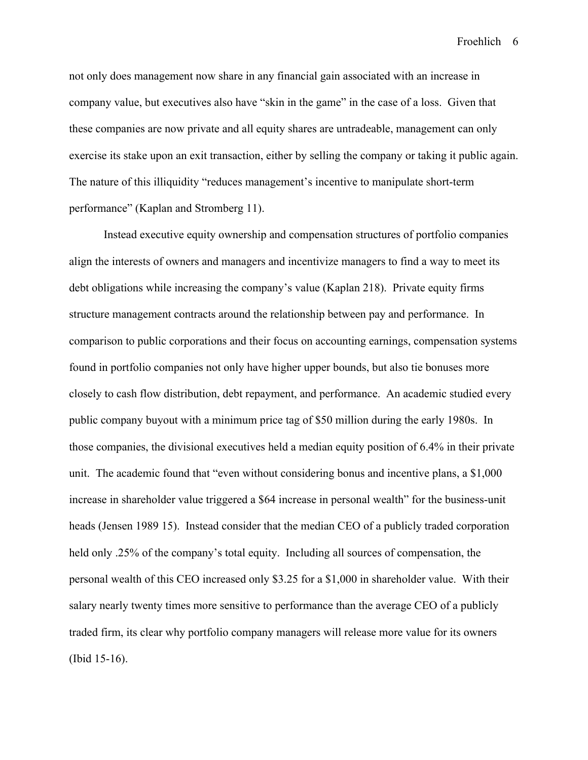not only does management now share in any financial gain associated with an increase in company value, but executives also have "skin in the game" in the case of a loss. Given that these companies are now private and all equity shares are untradeable, management can only exercise its stake upon an exit transaction, either by selling the company or taking it public again. The nature of this illiquidity "reduces management's incentive to manipulate short-term performance" (Kaplan and Stromberg 11).

Instead executive equity ownership and compensation structures of portfolio companies align the interests of owners and managers and incentivize managers to find a way to meet its debt obligations while increasing the company's value (Kaplan 218). Private equity firms structure management contracts around the relationship between pay and performance. In comparison to public corporations and their focus on accounting earnings, compensation systems found in portfolio companies not only have higher upper bounds, but also tie bonuses more closely to cash flow distribution, debt repayment, and performance. An academic studied every public company buyout with a minimum price tag of \$50 million during the early 1980s. In those companies, the divisional executives held a median equity position of 6.4% in their private unit. The academic found that "even without considering bonus and incentive plans, a \$1,000 increase in shareholder value triggered a \$64 increase in personal wealth" for the business-unit heads (Jensen 1989 15). Instead consider that the median CEO of a publicly traded corporation held only .25% of the company's total equity. Including all sources of compensation, the personal wealth of this CEO increased only \$3.25 for a \$1,000 in shareholder value. With their salary nearly twenty times more sensitive to performance than the average CEO of a publicly traded firm, its clear why portfolio company managers will release more value for its owners (Ibid 15-16).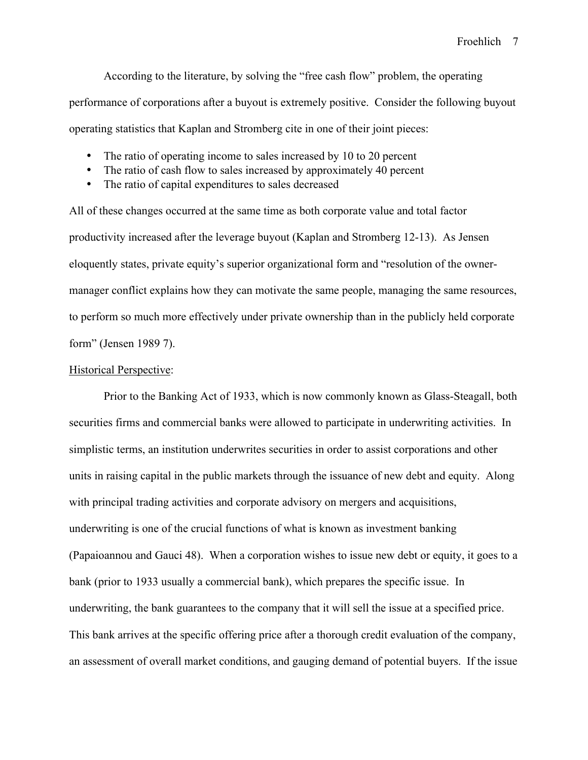According to the literature, by solving the "free cash flow" problem, the operating performance of corporations after a buyout is extremely positive. Consider the following buyout operating statistics that Kaplan and Stromberg cite in one of their joint pieces:

- The ratio of operating income to sales increased by 10 to 20 percent
- The ratio of cash flow to sales increased by approximately 40 percent
- The ratio of capital expenditures to sales decreased

All of these changes occurred at the same time as both corporate value and total factor productivity increased after the leverage buyout (Kaplan and Stromberg 12-13). As Jensen eloquently states, private equity's superior organizational form and "resolution of the ownermanager conflict explains how they can motivate the same people, managing the same resources, to perform so much more effectively under private ownership than in the publicly held corporate form" (Jensen 1989 7).

### Historical Perspective:

Prior to the Banking Act of 1933, which is now commonly known as Glass-Steagall, both securities firms and commercial banks were allowed to participate in underwriting activities. In simplistic terms, an institution underwrites securities in order to assist corporations and other units in raising capital in the public markets through the issuance of new debt and equity. Along with principal trading activities and corporate advisory on mergers and acquisitions, underwriting is one of the crucial functions of what is known as investment banking (Papaioannou and Gauci 48). When a corporation wishes to issue new debt or equity, it goes to a bank (prior to 1933 usually a commercial bank), which prepares the specific issue. In underwriting, the bank guarantees to the company that it will sell the issue at a specified price. This bank arrives at the specific offering price after a thorough credit evaluation of the company, an assessment of overall market conditions, and gauging demand of potential buyers. If the issue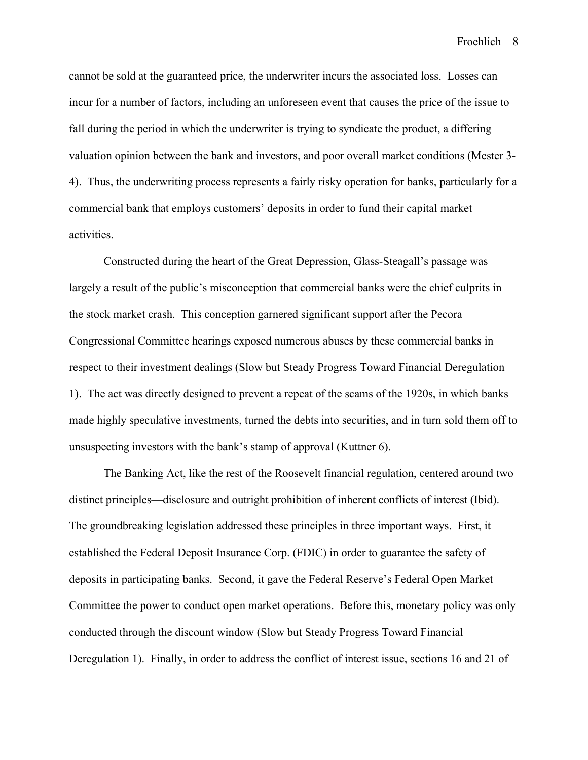cannot be sold at the guaranteed price, the underwriter incurs the associated loss. Losses can incur for a number of factors, including an unforeseen event that causes the price of the issue to fall during the period in which the underwriter is trying to syndicate the product, a differing valuation opinion between the bank and investors, and poor overall market conditions (Mester 3- 4). Thus, the underwriting process represents a fairly risky operation for banks, particularly for a commercial bank that employs customers' deposits in order to fund their capital market activities.

Constructed during the heart of the Great Depression, Glass-Steagall's passage was largely a result of the public's misconception that commercial banks were the chief culprits in the stock market crash. This conception garnered significant support after the Pecora Congressional Committee hearings exposed numerous abuses by these commercial banks in respect to their investment dealings (Slow but Steady Progress Toward Financial Deregulation 1). The act was directly designed to prevent a repeat of the scams of the 1920s, in which banks made highly speculative investments, turned the debts into securities, and in turn sold them off to unsuspecting investors with the bank's stamp of approval (Kuttner 6).

The Banking Act, like the rest of the Roosevelt financial regulation, centered around two distinct principles—disclosure and outright prohibition of inherent conflicts of interest (Ibid). The groundbreaking legislation addressed these principles in three important ways. First, it established the Federal Deposit Insurance Corp. (FDIC) in order to guarantee the safety of deposits in participating banks. Second, it gave the Federal Reserve's Federal Open Market Committee the power to conduct open market operations. Before this, monetary policy was only conducted through the discount window (Slow but Steady Progress Toward Financial Deregulation 1). Finally, in order to address the conflict of interest issue, sections 16 and 21 of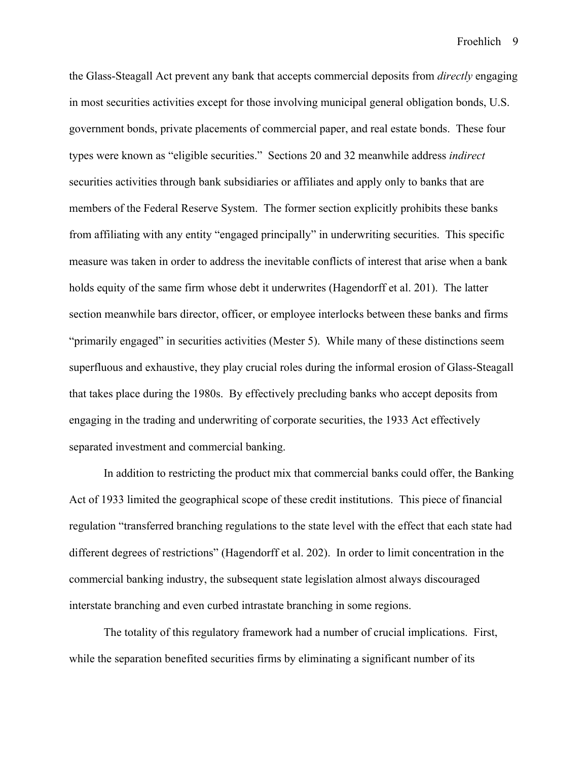the Glass-Steagall Act prevent any bank that accepts commercial deposits from *directly* engaging in most securities activities except for those involving municipal general obligation bonds, U.S. government bonds, private placements of commercial paper, and real estate bonds. These four types were known as "eligible securities." Sections 20 and 32 meanwhile address *indirect* securities activities through bank subsidiaries or affiliates and apply only to banks that are members of the Federal Reserve System. The former section explicitly prohibits these banks from affiliating with any entity "engaged principally" in underwriting securities. This specific measure was taken in order to address the inevitable conflicts of interest that arise when a bank holds equity of the same firm whose debt it underwrites (Hagendorff et al. 201). The latter section meanwhile bars director, officer, or employee interlocks between these banks and firms "primarily engaged" in securities activities (Mester 5). While many of these distinctions seem superfluous and exhaustive, they play crucial roles during the informal erosion of Glass-Steagall that takes place during the 1980s. By effectively precluding banks who accept deposits from engaging in the trading and underwriting of corporate securities, the 1933 Act effectively separated investment and commercial banking.

In addition to restricting the product mix that commercial banks could offer, the Banking Act of 1933 limited the geographical scope of these credit institutions. This piece of financial regulation "transferred branching regulations to the state level with the effect that each state had different degrees of restrictions" (Hagendorff et al. 202). In order to limit concentration in the commercial banking industry, the subsequent state legislation almost always discouraged interstate branching and even curbed intrastate branching in some regions.

The totality of this regulatory framework had a number of crucial implications. First, while the separation benefited securities firms by eliminating a significant number of its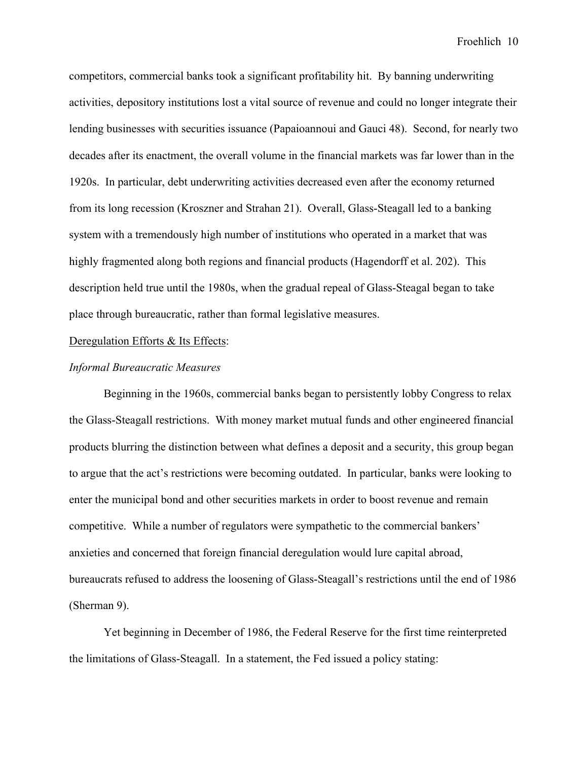competitors, commercial banks took a significant profitability hit. By banning underwriting activities, depository institutions lost a vital source of revenue and could no longer integrate their lending businesses with securities issuance (Papaioannoui and Gauci 48). Second, for nearly two decades after its enactment, the overall volume in the financial markets was far lower than in the 1920s. In particular, debt underwriting activities decreased even after the economy returned from its long recession (Kroszner and Strahan 21). Overall, Glass-Steagall led to a banking system with a tremendously high number of institutions who operated in a market that was highly fragmented along both regions and financial products (Hagendorff et al. 202). This description held true until the 1980s, when the gradual repeal of Glass-Steagal began to take place through bureaucratic, rather than formal legislative measures.

## Deregulation Efforts & Its Effects:

### *Informal Bureaucratic Measures*

Beginning in the 1960s, commercial banks began to persistently lobby Congress to relax the Glass-Steagall restrictions. With money market mutual funds and other engineered financial products blurring the distinction between what defines a deposit and a security, this group began to argue that the act's restrictions were becoming outdated. In particular, banks were looking to enter the municipal bond and other securities markets in order to boost revenue and remain competitive. While a number of regulators were sympathetic to the commercial bankers' anxieties and concerned that foreign financial deregulation would lure capital abroad, bureaucrats refused to address the loosening of Glass-Steagall's restrictions until the end of 1986 (Sherman 9).

Yet beginning in December of 1986, the Federal Reserve for the first time reinterpreted the limitations of Glass-Steagall. In a statement, the Fed issued a policy stating: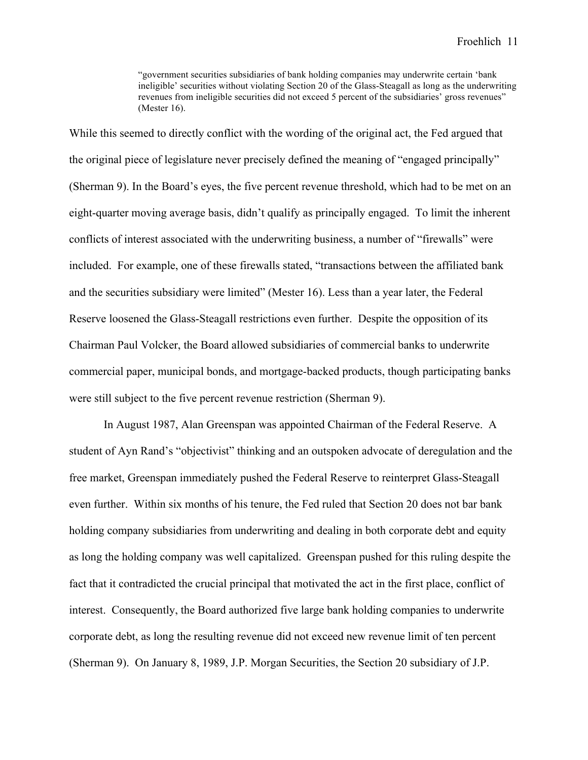"government securities subsidiaries of bank holding companies may underwrite certain 'bank ineligible' securities without violating Section 20 of the Glass-Steagall as long as the underwriting revenues from ineligible securities did not exceed 5 percent of the subsidiaries' gross revenues" (Mester 16).

While this seemed to directly conflict with the wording of the original act, the Fed argued that the original piece of legislature never precisely defined the meaning of "engaged principally" (Sherman 9). In the Board's eyes, the five percent revenue threshold, which had to be met on an eight-quarter moving average basis, didn't qualify as principally engaged. To limit the inherent conflicts of interest associated with the underwriting business, a number of "firewalls" were included. For example, one of these firewalls stated, "transactions between the affiliated bank and the securities subsidiary were limited" (Mester 16). Less than a year later, the Federal Reserve loosened the Glass-Steagall restrictions even further. Despite the opposition of its Chairman Paul Volcker, the Board allowed subsidiaries of commercial banks to underwrite commercial paper, municipal bonds, and mortgage-backed products, though participating banks were still subject to the five percent revenue restriction (Sherman 9).

In August 1987, Alan Greenspan was appointed Chairman of the Federal Reserve. A student of Ayn Rand's "objectivist" thinking and an outspoken advocate of deregulation and the free market, Greenspan immediately pushed the Federal Reserve to reinterpret Glass-Steagall even further. Within six months of his tenure, the Fed ruled that Section 20 does not bar bank holding company subsidiaries from underwriting and dealing in both corporate debt and equity as long the holding company was well capitalized. Greenspan pushed for this ruling despite the fact that it contradicted the crucial principal that motivated the act in the first place, conflict of interest. Consequently, the Board authorized five large bank holding companies to underwrite corporate debt, as long the resulting revenue did not exceed new revenue limit of ten percent (Sherman 9). On January 8, 1989, J.P. Morgan Securities, the Section 20 subsidiary of J.P.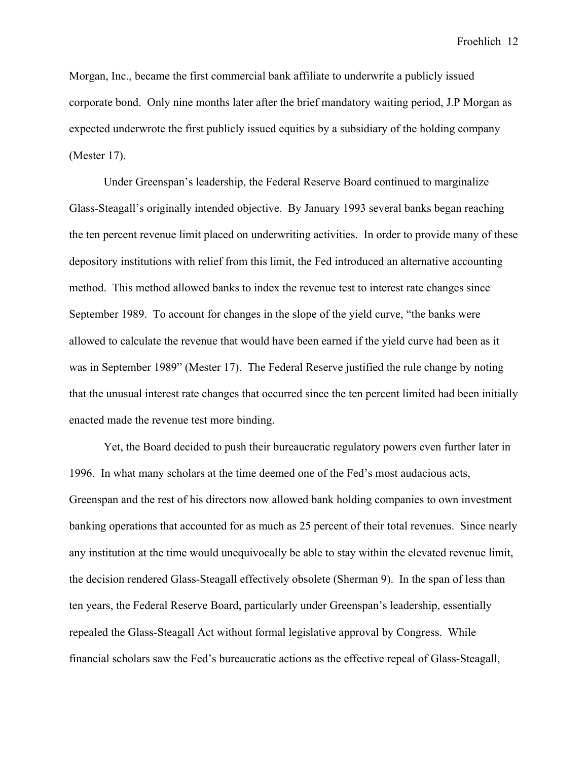Morgan, Inc., became the first commercial bank affiliate to underwrite a publicly issued corporate bond. Only nine months later after the brief mandatory waiting period, J.P Morgan as expected underwrote the first publicly issued equities by a subsidiary of the holding company (Mester 17).

Under Greenspan's leadership, the Federal Reserve Board continued to marginalize Glass-Steagall's originally intended objective. By January 1993 several banks began reaching the ten percent revenue limit placed on underwriting activities. In order to provide many of these depository institutions with relief from this limit, the Fed introduced an alternative accounting method. This method allowed banks to index the revenue test to interest rate changes since September 1989. To account for changes in the slope of the yield curve, "the banks were allowed to calculate the revenue that would have been earned if the yield curve had been as it was in September 1989" (Mester 17). The Federal Reserve justified the rule change by noting that the unusual interest rate changes that occurred since the ten percent limited had been initially enacted made the revenue test more binding.

Yet, the Board decided to push their bureaucratic regulatory powers even further later in 1996. In what many scholars at the time deemed one of the Fed's most audacious acts, Greenspan and the rest of his directors now allowed bank holding companies to own investment banking operations that accounted for as much as 25 percent of their total revenues. Since nearly any institution at the time would unequivocally be able to stay within the elevated revenue limit, the decision rendered Glass-Steagall effectively obsolete (Sherman 9). In the span of less than ten years, the Federal Reserve Board, particularly under Greenspan's leadership, essentially repealed the Glass-Steagall Act without formal legislative approval by Congress. While financial scholars saw the Fed's bureaucratic actions as the effective repeal of Glass-Steagall,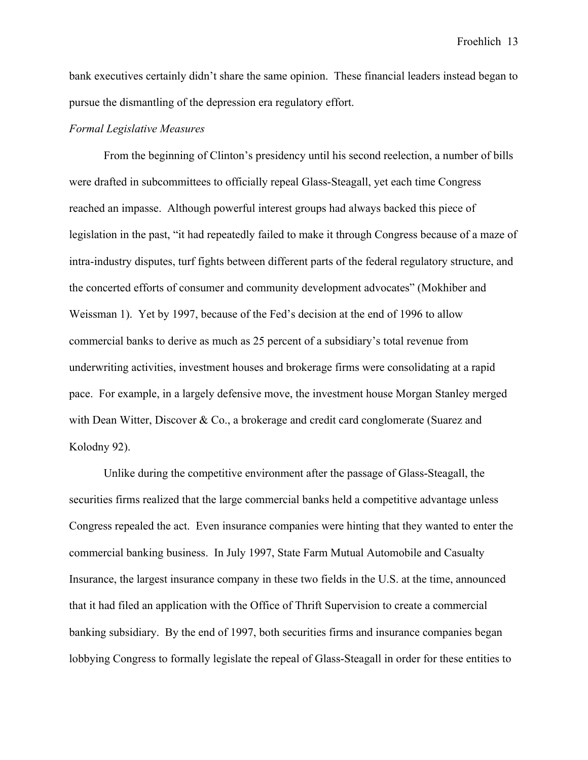bank executives certainly didn't share the same opinion. These financial leaders instead began to pursue the dismantling of the depression era regulatory effort.

### *Formal Legislative Measures*

From the beginning of Clinton's presidency until his second reelection, a number of bills were drafted in subcommittees to officially repeal Glass-Steagall, yet each time Congress reached an impasse. Although powerful interest groups had always backed this piece of legislation in the past, "it had repeatedly failed to make it through Congress because of a maze of intra-industry disputes, turf fights between different parts of the federal regulatory structure, and the concerted efforts of consumer and community development advocates" (Mokhiber and Weissman 1). Yet by 1997, because of the Fed's decision at the end of 1996 to allow commercial banks to derive as much as 25 percent of a subsidiary's total revenue from underwriting activities, investment houses and brokerage firms were consolidating at a rapid pace. For example, in a largely defensive move, the investment house Morgan Stanley merged with Dean Witter, Discover & Co., a brokerage and credit card conglomerate (Suarez and Kolodny 92).

Unlike during the competitive environment after the passage of Glass-Steagall, the securities firms realized that the large commercial banks held a competitive advantage unless Congress repealed the act. Even insurance companies were hinting that they wanted to enter the commercial banking business. In July 1997, State Farm Mutual Automobile and Casualty Insurance, the largest insurance company in these two fields in the U.S. at the time, announced that it had filed an application with the Office of Thrift Supervision to create a commercial banking subsidiary. By the end of 1997, both securities firms and insurance companies began lobbying Congress to formally legislate the repeal of Glass-Steagall in order for these entities to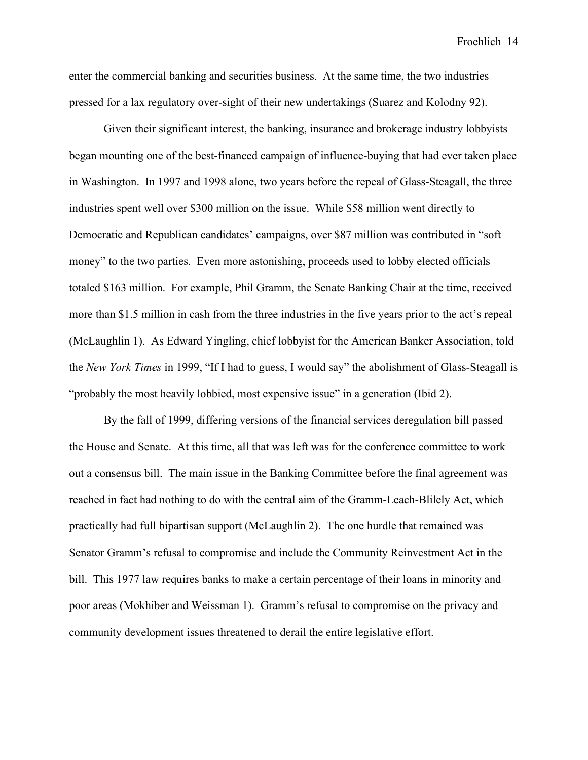enter the commercial banking and securities business. At the same time, the two industries pressed for a lax regulatory over-sight of their new undertakings (Suarez and Kolodny 92).

Given their significant interest, the banking, insurance and brokerage industry lobbyists began mounting one of the best-financed campaign of influence-buying that had ever taken place in Washington. In 1997 and 1998 alone, two years before the repeal of Glass-Steagall, the three industries spent well over \$300 million on the issue. While \$58 million went directly to Democratic and Republican candidates' campaigns, over \$87 million was contributed in "soft money" to the two parties. Even more astonishing, proceeds used to lobby elected officials totaled \$163 million. For example, Phil Gramm, the Senate Banking Chair at the time, received more than \$1.5 million in cash from the three industries in the five years prior to the act's repeal (McLaughlin 1). As Edward Yingling, chief lobbyist for the American Banker Association, told the *New York Times* in 1999, "If I had to guess, I would say" the abolishment of Glass-Steagall is "probably the most heavily lobbied, most expensive issue" in a generation (Ibid 2).

By the fall of 1999, differing versions of the financial services deregulation bill passed the House and Senate. At this time, all that was left was for the conference committee to work out a consensus bill. The main issue in the Banking Committee before the final agreement was reached in fact had nothing to do with the central aim of the Gramm-Leach-Blilely Act, which practically had full bipartisan support (McLaughlin 2). The one hurdle that remained was Senator Gramm's refusal to compromise and include the Community Reinvestment Act in the bill. This 1977 law requires banks to make a certain percentage of their loans in minority and poor areas (Mokhiber and Weissman 1). Gramm's refusal to compromise on the privacy and community development issues threatened to derail the entire legislative effort.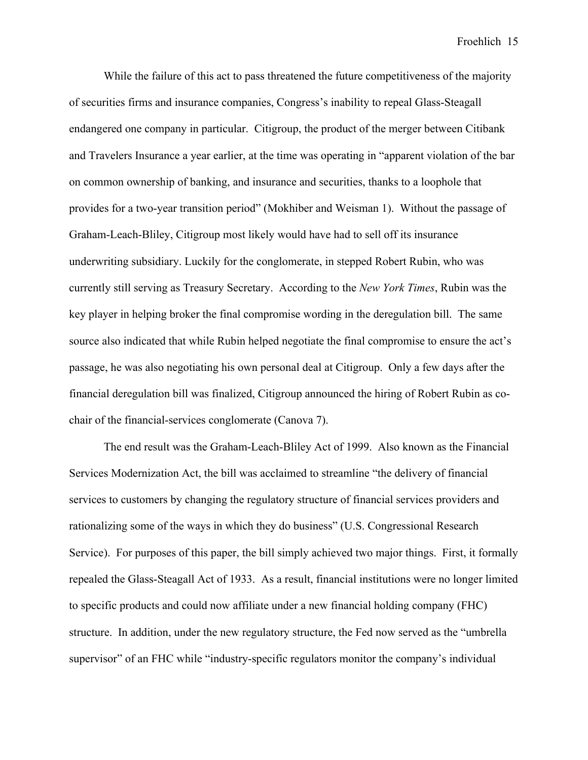While the failure of this act to pass threatened the future competitiveness of the majority of securities firms and insurance companies, Congress's inability to repeal Glass-Steagall endangered one company in particular. Citigroup, the product of the merger between Citibank and Travelers Insurance a year earlier, at the time was operating in "apparent violation of the bar on common ownership of banking, and insurance and securities, thanks to a loophole that provides for a two-year transition period" (Mokhiber and Weisman 1). Without the passage of Graham-Leach-Bliley, Citigroup most likely would have had to sell off its insurance underwriting subsidiary. Luckily for the conglomerate, in stepped Robert Rubin, who was currently still serving as Treasury Secretary. According to the *New York Times*, Rubin was the key player in helping broker the final compromise wording in the deregulation bill. The same source also indicated that while Rubin helped negotiate the final compromise to ensure the act's passage, he was also negotiating his own personal deal at Citigroup. Only a few days after the financial deregulation bill was finalized, Citigroup announced the hiring of Robert Rubin as cochair of the financial-services conglomerate (Canova 7).

The end result was the Graham-Leach-Bliley Act of 1999. Also known as the Financial Services Modernization Act, the bill was acclaimed to streamline "the delivery of financial services to customers by changing the regulatory structure of financial services providers and rationalizing some of the ways in which they do business" (U.S. Congressional Research Service). For purposes of this paper, the bill simply achieved two major things. First, it formally repealed the Glass-Steagall Act of 1933. As a result, financial institutions were no longer limited to specific products and could now affiliate under a new financial holding company (FHC) structure. In addition, under the new regulatory structure, the Fed now served as the "umbrella supervisor" of an FHC while "industry-specific regulators monitor the company's individual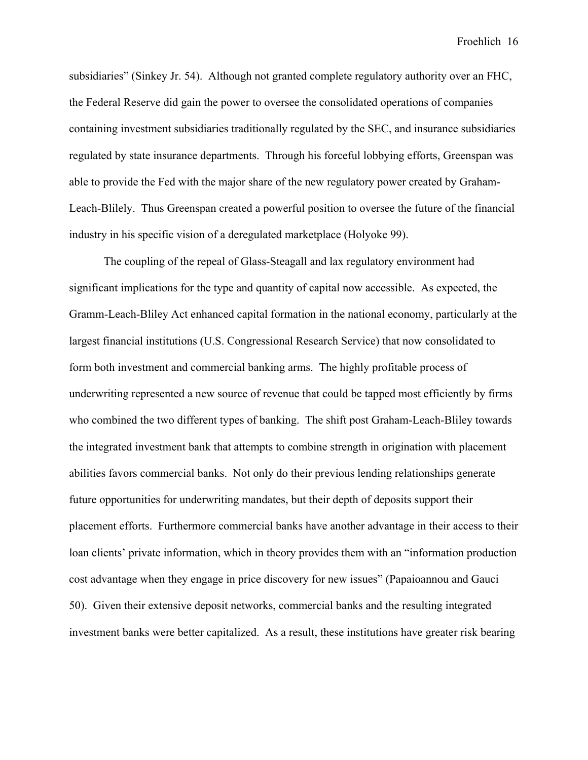subsidiaries" (Sinkey Jr. 54). Although not granted complete regulatory authority over an FHC, the Federal Reserve did gain the power to oversee the consolidated operations of companies containing investment subsidiaries traditionally regulated by the SEC, and insurance subsidiaries regulated by state insurance departments. Through his forceful lobbying efforts, Greenspan was able to provide the Fed with the major share of the new regulatory power created by Graham-Leach-Blilely. Thus Greenspan created a powerful position to oversee the future of the financial industry in his specific vision of a deregulated marketplace (Holyoke 99).

The coupling of the repeal of Glass-Steagall and lax regulatory environment had significant implications for the type and quantity of capital now accessible. As expected, the Gramm-Leach-Bliley Act enhanced capital formation in the national economy, particularly at the largest financial institutions (U.S. Congressional Research Service) that now consolidated to form both investment and commercial banking arms. The highly profitable process of underwriting represented a new source of revenue that could be tapped most efficiently by firms who combined the two different types of banking. The shift post Graham-Leach-Bliley towards the integrated investment bank that attempts to combine strength in origination with placement abilities favors commercial banks. Not only do their previous lending relationships generate future opportunities for underwriting mandates, but their depth of deposits support their placement efforts. Furthermore commercial banks have another advantage in their access to their loan clients' private information, which in theory provides them with an "information production cost advantage when they engage in price discovery for new issues" (Papaioannou and Gauci 50). Given their extensive deposit networks, commercial banks and the resulting integrated investment banks were better capitalized. As a result, these institutions have greater risk bearing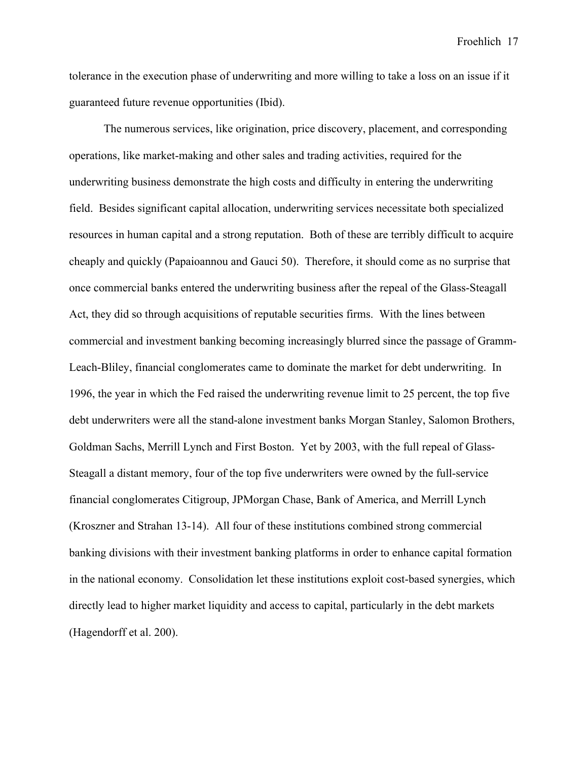tolerance in the execution phase of underwriting and more willing to take a loss on an issue if it guaranteed future revenue opportunities (Ibid).

The numerous services, like origination, price discovery, placement, and corresponding operations, like market-making and other sales and trading activities, required for the underwriting business demonstrate the high costs and difficulty in entering the underwriting field. Besides significant capital allocation, underwriting services necessitate both specialized resources in human capital and a strong reputation. Both of these are terribly difficult to acquire cheaply and quickly (Papaioannou and Gauci 50). Therefore, it should come as no surprise that once commercial banks entered the underwriting business after the repeal of the Glass-Steagall Act, they did so through acquisitions of reputable securities firms. With the lines between commercial and investment banking becoming increasingly blurred since the passage of Gramm-Leach-Bliley, financial conglomerates came to dominate the market for debt underwriting. In 1996, the year in which the Fed raised the underwriting revenue limit to 25 percent, the top five debt underwriters were all the stand-alone investment banks Morgan Stanley, Salomon Brothers, Goldman Sachs, Merrill Lynch and First Boston. Yet by 2003, with the full repeal of Glass-Steagall a distant memory, four of the top five underwriters were owned by the full-service financial conglomerates Citigroup, JPMorgan Chase, Bank of America, and Merrill Lynch (Kroszner and Strahan 13-14). All four of these institutions combined strong commercial banking divisions with their investment banking platforms in order to enhance capital formation in the national economy. Consolidation let these institutions exploit cost-based synergies, which directly lead to higher market liquidity and access to capital, particularly in the debt markets (Hagendorff et al. 200).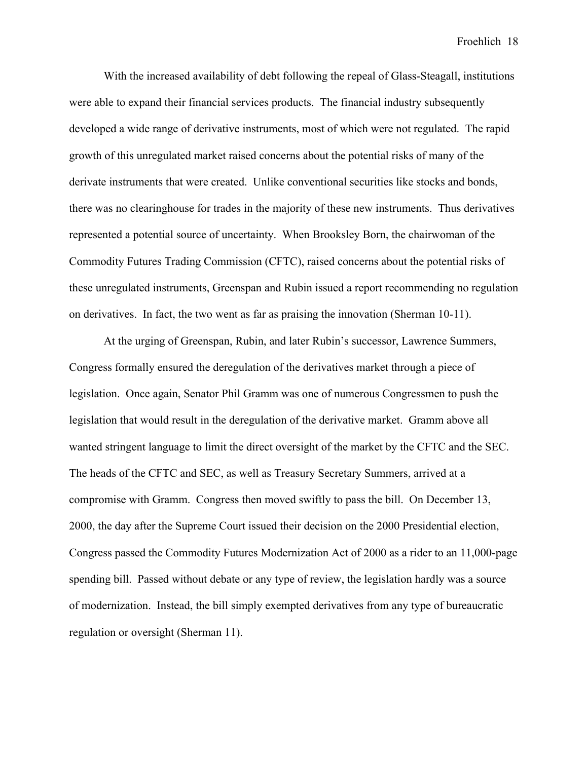With the increased availability of debt following the repeal of Glass-Steagall, institutions were able to expand their financial services products. The financial industry subsequently developed a wide range of derivative instruments, most of which were not regulated. The rapid growth of this unregulated market raised concerns about the potential risks of many of the derivate instruments that were created. Unlike conventional securities like stocks and bonds, there was no clearinghouse for trades in the majority of these new instruments. Thus derivatives represented a potential source of uncertainty. When Brooksley Born, the chairwoman of the Commodity Futures Trading Commission (CFTC), raised concerns about the potential risks of these unregulated instruments, Greenspan and Rubin issued a report recommending no regulation on derivatives. In fact, the two went as far as praising the innovation (Sherman 10-11).

At the urging of Greenspan, Rubin, and later Rubin's successor, Lawrence Summers, Congress formally ensured the deregulation of the derivatives market through a piece of legislation. Once again, Senator Phil Gramm was one of numerous Congressmen to push the legislation that would result in the deregulation of the derivative market. Gramm above all wanted stringent language to limit the direct oversight of the market by the CFTC and the SEC. The heads of the CFTC and SEC, as well as Treasury Secretary Summers, arrived at a compromise with Gramm. Congress then moved swiftly to pass the bill. On December 13, 2000, the day after the Supreme Court issued their decision on the 2000 Presidential election, Congress passed the Commodity Futures Modernization Act of 2000 as a rider to an 11,000-page spending bill. Passed without debate or any type of review, the legislation hardly was a source of modernization. Instead, the bill simply exempted derivatives from any type of bureaucratic regulation or oversight (Sherman 11).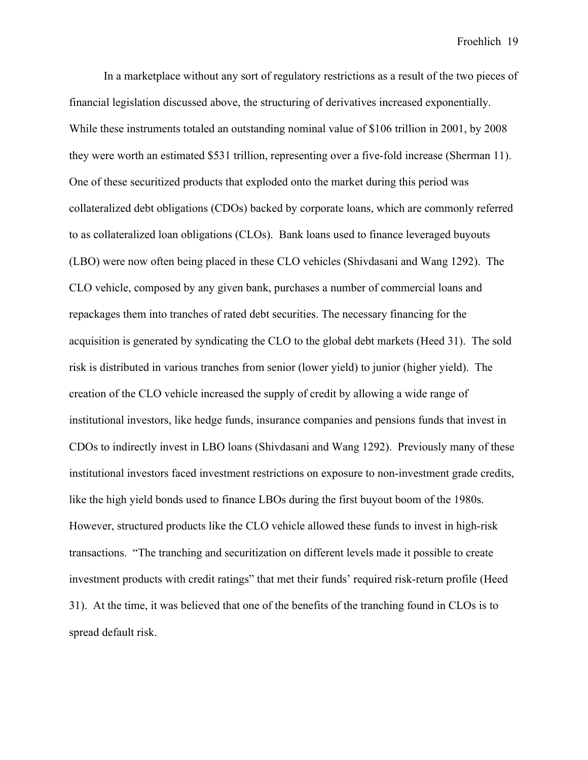In a marketplace without any sort of regulatory restrictions as a result of the two pieces of financial legislation discussed above, the structuring of derivatives increased exponentially. While these instruments totaled an outstanding nominal value of \$106 trillion in 2001, by 2008 they were worth an estimated \$531 trillion, representing over a five-fold increase (Sherman 11). One of these securitized products that exploded onto the market during this period was collateralized debt obligations (CDOs) backed by corporate loans, which are commonly referred to as collateralized loan obligations (CLOs). Bank loans used to finance leveraged buyouts (LBO) were now often being placed in these CLO vehicles (Shivdasani and Wang 1292). The CLO vehicle, composed by any given bank, purchases a number of commercial loans and repackages them into tranches of rated debt securities. The necessary financing for the acquisition is generated by syndicating the CLO to the global debt markets (Heed 31). The sold risk is distributed in various tranches from senior (lower yield) to junior (higher yield). The creation of the CLO vehicle increased the supply of credit by allowing a wide range of institutional investors, like hedge funds, insurance companies and pensions funds that invest in CDOs to indirectly invest in LBO loans (Shivdasani and Wang 1292). Previously many of these institutional investors faced investment restrictions on exposure to non-investment grade credits, like the high yield bonds used to finance LBOs during the first buyout boom of the 1980s. However, structured products like the CLO vehicle allowed these funds to invest in high-risk transactions. "The tranching and securitization on different levels made it possible to create investment products with credit ratings" that met their funds' required risk-return profile (Heed 31). At the time, it was believed that one of the benefits of the tranching found in CLOs is to spread default risk.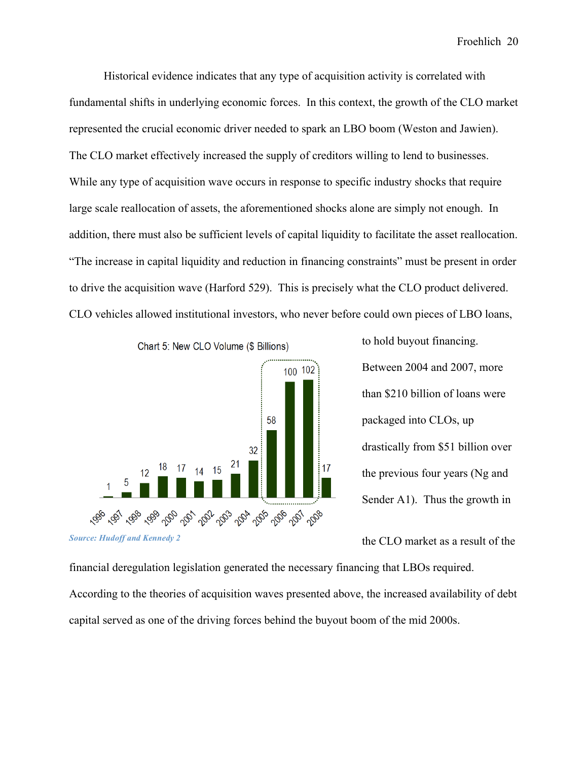Historical evidence indicates that any type of acquisition activity is correlated with fundamental shifts in underlying economic forces. In this context, the growth of the CLO market represented the crucial economic driver needed to spark an LBO boom (Weston and Jawien). The CLO market effectively increased the supply of creditors willing to lend to businesses. While any type of acquisition wave occurs in response to specific industry shocks that require large scale reallocation of assets, the aforementioned shocks alone are simply not enough. In addition, there must also be sufficient levels of capital liquidity to facilitate the asset reallocation. "The increase in capital liquidity and reduction in financing constraints" must be present in order to drive the acquisition wave (Harford 529). This is precisely what the CLO product delivered. CLO vehicles allowed institutional investors, who never before could own pieces of LBO loans,



to hold buyout financing. Between 2004 and 2007, more than \$210 billion of loans were packaged into CLOs, up drastically from \$51 billion over the previous four years (Ng and Sender A1). Thus the growth in

the CLO market as a result of the

financial deregulation legislation generated the necessary financing that LBOs required. According to the theories of acquisition waves presented above, the increased availability of debt capital served as one of the driving forces behind the buyout boom of the mid 2000s.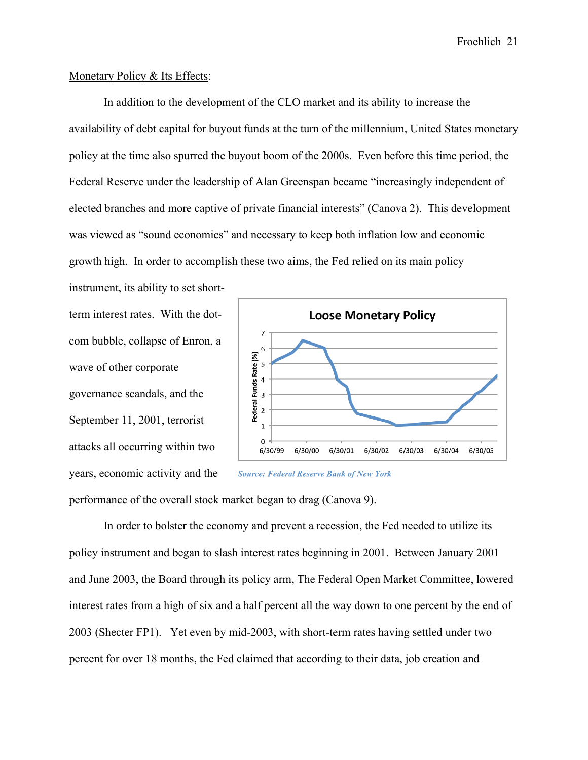### Monetary Policy & Its Effects:

In addition to the development of the CLO market and its ability to increase the availability of debt capital for buyout funds at the turn of the millennium, United States monetary policy at the time also spurred the buyout boom of the 2000s. Even before this time period, the Federal Reserve under the leadership of Alan Greenspan became "increasingly independent of elected branches and more captive of private financial interests" (Canova 2). This development was viewed as "sound economics" and necessary to keep both inflation low and economic growth high. In order to accomplish these two aims, the Fed relied on its main policy

instrument, its ability to set shortterm interest rates. With the dotcom bubble, collapse of Enron, a wave of other corporate governance scandals, and the September 11, 2001, terrorist attacks all occurring within two years, economic activity and the



**Source: Federal Reserve Bank of New York** 

performance of the overall stock market began to drag (Canova 9).

In order to bolster the economy and prevent a recession, the Fed needed to utilize its policy instrument and began to slash interest rates beginning in 2001. Between January 2001 and June 2003, the Board through its policy arm, The Federal Open Market Committee, lowered interest rates from a high of six and a half percent all the way down to one percent by the end of 2003 (Shecter FP1). Yet even by mid-2003, with short-term rates having settled under two percent for over 18 months, the Fed claimed that according to their data, job creation and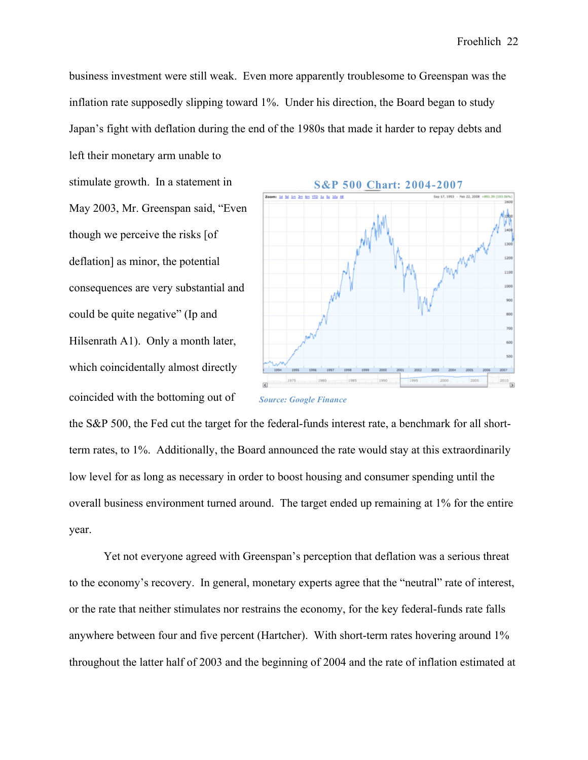business investment were still weak. Even more apparently troublesome to Greenspan was the inflation rate supposedly slipping toward 1%. Under his direction, the Board began to study Japan's fight with deflation during the end of the 1980s that made it harder to repay debts and left their monetary arm unable to

stimulate growth. In a statement in May 2003, Mr. Greenspan said, "Even though we perceive the risks [of deflation] as minor, the potential consequences are very substantial and could be quite negative" (Ip and Hilsenrath A1). Only a month later, which coincidentally almost directly coincided with the bottoming out of



*Source: Google Finance*

the S&P 500, the Fed cut the target for the federal-funds interest rate, a benchmark for all shortterm rates, to 1%. Additionally, the Board announced the rate would stay at this extraordinarily low level for as long as necessary in order to boost housing and consumer spending until the overall business environment turned around. The target ended up remaining at 1% for the entire year.

Yet not everyone agreed with Greenspan's perception that deflation was a serious threat to the economy's recovery. In general, monetary experts agree that the "neutral" rate of interest, or the rate that neither stimulates nor restrains the economy, for the key federal-funds rate falls anywhere between four and five percent (Hartcher). With short-term rates hovering around 1% throughout the latter half of 2003 and the beginning of 2004 and the rate of inflation estimated at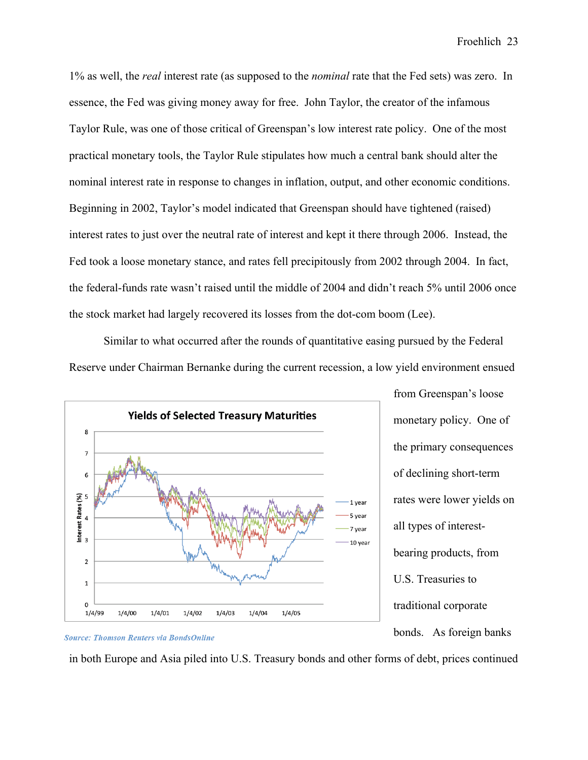1% as well, the *real* interest rate (as supposed to the *nominal* rate that the Fed sets) was zero. In essence, the Fed was giving money away for free. John Taylor, the creator of the infamous Taylor Rule, was one of those critical of Greenspan's low interest rate policy. One of the most practical monetary tools, the Taylor Rule stipulates how much a central bank should alter the nominal interest rate in response to changes in inflation, output, and other economic conditions. Beginning in 2002, Taylor's model indicated that Greenspan should have tightened (raised) interest rates to just over the neutral rate of interest and kept it there through 2006. Instead, the Fed took a loose monetary stance, and rates fell precipitously from 2002 through 2004. In fact, the federal-funds rate wasn't raised until the middle of 2004 and didn't reach 5% until 2006 once the stock market had largely recovered its losses from the dot-com boom (Lee).

Similar to what occurred after the rounds of quantitative easing pursued by the Federal Reserve under Chairman Bernanke during the current recession, a low yield environment ensued



from Greenspan's loose monetary policy. One of the primary consequences of declining short-term rates were lower yields on all types of interestbearing products, from U.S. Treasuries to traditional corporate bonds. As foreign banks



in both Europe and Asia piled into U.S. Treasury bonds and other forms of debt, prices continued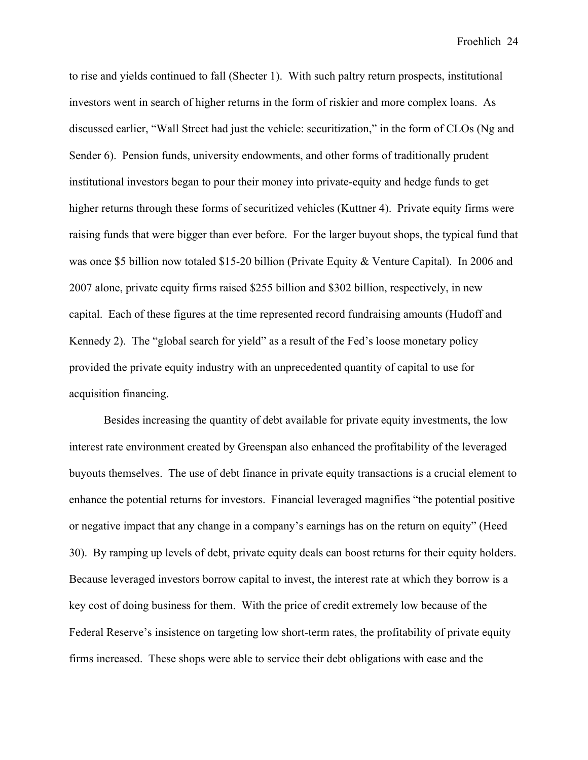to rise and yields continued to fall (Shecter 1). With such paltry return prospects, institutional investors went in search of higher returns in the form of riskier and more complex loans. As discussed earlier, "Wall Street had just the vehicle: securitization," in the form of CLOs (Ng and Sender 6). Pension funds, university endowments, and other forms of traditionally prudent institutional investors began to pour their money into private-equity and hedge funds to get higher returns through these forms of securitized vehicles (Kuttner 4). Private equity firms were raising funds that were bigger than ever before. For the larger buyout shops, the typical fund that was once \$5 billion now totaled \$15-20 billion (Private Equity & Venture Capital). In 2006 and 2007 alone, private equity firms raised \$255 billion and \$302 billion, respectively, in new capital. Each of these figures at the time represented record fundraising amounts (Hudoff and Kennedy 2). The "global search for yield" as a result of the Fed's loose monetary policy provided the private equity industry with an unprecedented quantity of capital to use for acquisition financing.

Besides increasing the quantity of debt available for private equity investments, the low interest rate environment created by Greenspan also enhanced the profitability of the leveraged buyouts themselves. The use of debt finance in private equity transactions is a crucial element to enhance the potential returns for investors. Financial leveraged magnifies "the potential positive or negative impact that any change in a company's earnings has on the return on equity" (Heed 30). By ramping up levels of debt, private equity deals can boost returns for their equity holders. Because leveraged investors borrow capital to invest, the interest rate at which they borrow is a key cost of doing business for them. With the price of credit extremely low because of the Federal Reserve's insistence on targeting low short-term rates, the profitability of private equity firms increased. These shops were able to service their debt obligations with ease and the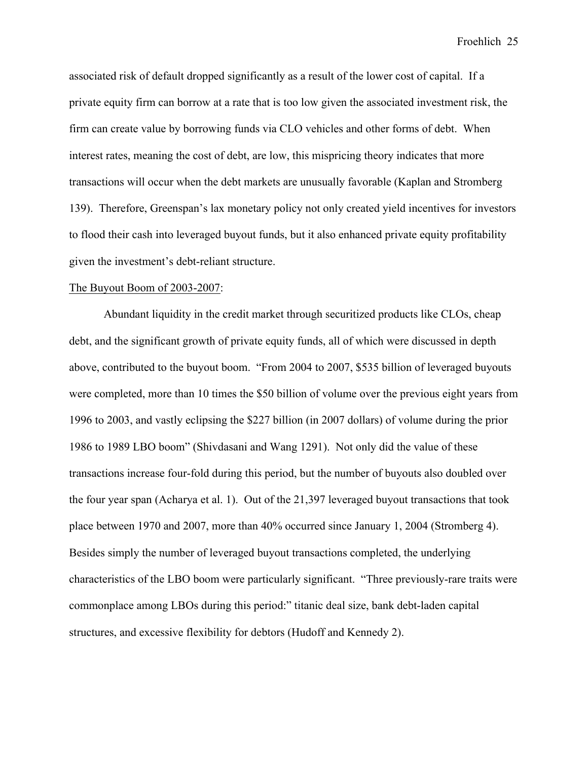associated risk of default dropped significantly as a result of the lower cost of capital. If a private equity firm can borrow at a rate that is too low given the associated investment risk, the firm can create value by borrowing funds via CLO vehicles and other forms of debt. When interest rates, meaning the cost of debt, are low, this mispricing theory indicates that more transactions will occur when the debt markets are unusually favorable (Kaplan and Stromberg 139). Therefore, Greenspan's lax monetary policy not only created yield incentives for investors to flood their cash into leveraged buyout funds, but it also enhanced private equity profitability given the investment's debt-reliant structure.

#### The Buyout Boom of 2003-2007:

Abundant liquidity in the credit market through securitized products like CLOs, cheap debt, and the significant growth of private equity funds, all of which were discussed in depth above, contributed to the buyout boom. "From 2004 to 2007, \$535 billion of leveraged buyouts were completed, more than 10 times the \$50 billion of volume over the previous eight years from 1996 to 2003, and vastly eclipsing the \$227 billion (in 2007 dollars) of volume during the prior 1986 to 1989 LBO boom" (Shivdasani and Wang 1291). Not only did the value of these transactions increase four-fold during this period, but the number of buyouts also doubled over the four year span (Acharya et al. 1). Out of the 21,397 leveraged buyout transactions that took place between 1970 and 2007, more than 40% occurred since January 1, 2004 (Stromberg 4). Besides simply the number of leveraged buyout transactions completed, the underlying characteristics of the LBO boom were particularly significant. "Three previously-rare traits were commonplace among LBOs during this period:" titanic deal size, bank debt-laden capital structures, and excessive flexibility for debtors (Hudoff and Kennedy 2).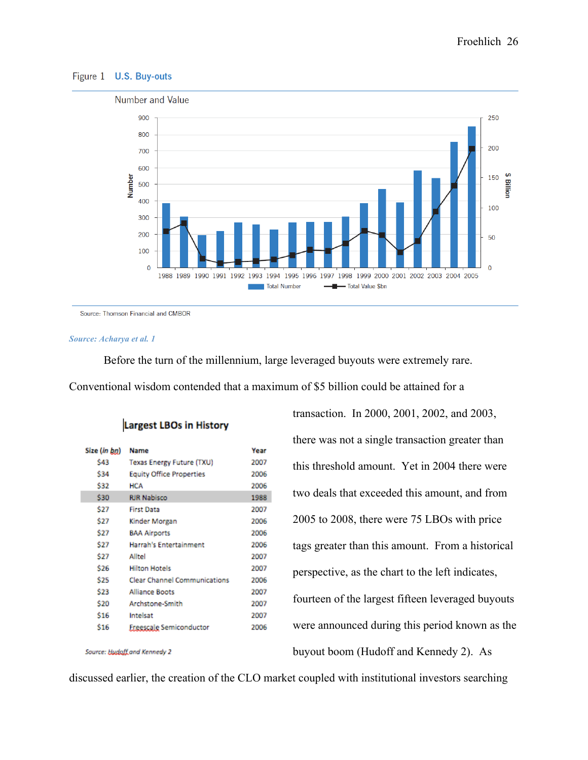#### Figure 1 U.S. Buy-outs



Source: Thomson Financial and CMBOR

#### *Source: Acharya et al. 1*

Before the turn of the millennium, large leveraged buyouts were extremely rare. Conventional wisdom contended that a maximum of \$5 billion could be attained for a

|              | <b>Name</b>                         | Vear |
|--------------|-------------------------------------|------|
| Size (in bn) |                                     |      |
| S43          | Texas Energy Future (TXU)           | 2007 |
| \$34         | <b>Equity Office Properties</b>     | 2006 |
| \$32         | <b>HCA</b>                          | 2006 |
| \$30         | <b>RJR Nabisco</b>                  | 1988 |
| \$27         | <b>First Data</b>                   | 2007 |
| \$27         | Kinder Morgan                       | 2006 |
| \$27         | <b>BAA Airports</b>                 | 2006 |
| \$27         | <b>Harrah's Entertainment</b>       | 2006 |
| \$27         | Alltel                              | 2007 |
| \$26         | <b>Hilton Hotels</b>                | 2007 |
| \$25         | <b>Clear Channel Communications</b> | 2006 |
| \$23         | <b>Alliance Boots</b>               | 2007 |
| \$20         | <b>Archstone-Smith</b>              | 2007 |
| \$16         | Intelsat                            | 2007 |
| \$16         | Freescale Semiconductor             | 2006 |
|              |                                     |      |

Source: Hudoff and Kennedy 2

**Largest LBOs in History** 

transaction. In 2000, 2001, 2002, and 2003, there was not a single transaction greater than this threshold amount. Yet in 2004 there were two deals that exceeded this amount, and from 2005 to 2008, there were 75 LBOs with price tags greater than this amount. From a historical perspective, as the chart to the left indicates, fourteen of the largest fifteen leveraged buyouts were announced during this period known as the buyout boom (Hudoff and Kennedy 2). As

discussed earlier, the creation of the CLO market coupled with institutional investors searching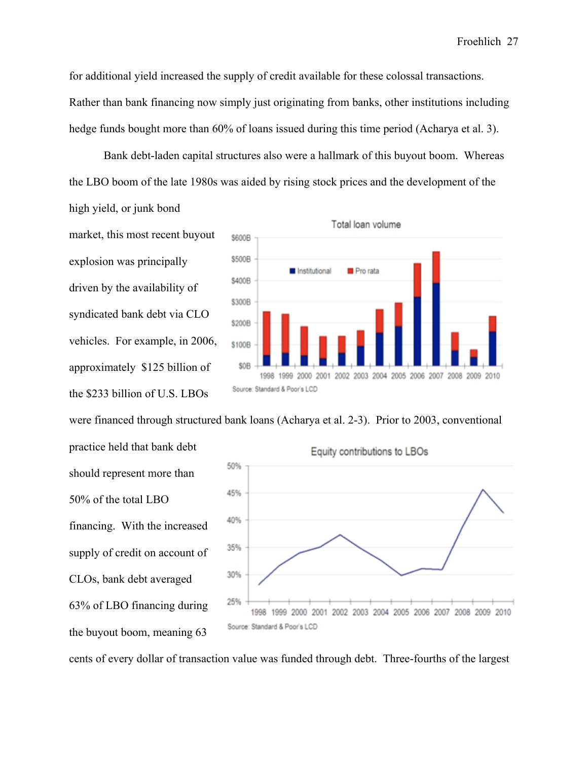for additional yield increased the supply of credit available for these colossal transactions. Rather than bank financing now simply just originating from banks, other institutions including hedge funds bought more than 60% of loans issued during this time period (Acharya et al. 3).

Bank debt-laden capital structures also were a hallmark of this buyout boom. Whereas the LBO boom of the late 1980s was aided by rising stock prices and the development of the high yield, or junk bond

market, this most recent buyout explosion was principally driven by the availability of syndicated bank debt via CLO vehicles. For example, in 2006, approximately \$125 billion of the \$233 billion of U.S. LBOs



were financed through structured bank loans (Acharya et al. 2-3). Prior to 2003, conventional

practice held that bank debt should represent more than 50% of the total LBO financing. With the increased supply of credit on account of CLOs, bank debt averaged 63% of LBO financing during the buyout boom, meaning 63



cents of every dollar of transaction value was funded through debt. Three-fourths of the largest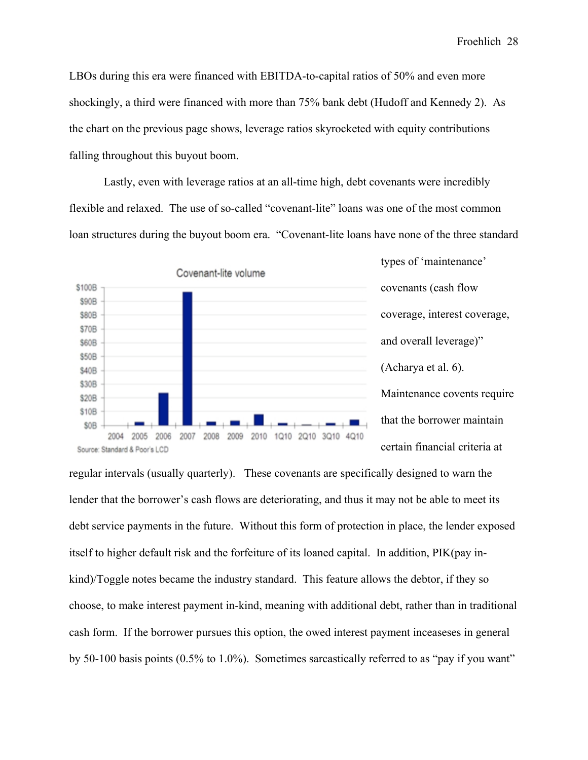LBOs during this era were financed with EBITDA-to-capital ratios of 50% and even more shockingly, a third were financed with more than 75% bank debt (Hudoff and Kennedy 2). As the chart on the previous page shows, leverage ratios skyrocketed with equity contributions falling throughout this buyout boom.

Lastly, even with leverage ratios at an all-time high, debt covenants were incredibly flexible and relaxed. The use of so-called "covenant-lite" loans was one of the most common loan structures during the buyout boom era. "Covenant-lite loans have none of the three standard



types of 'maintenance' covenants (cash flow coverage, interest coverage, and overall leverage)" (Acharya et al. 6). Maintenance covents require that the borrower maintain certain financial criteria at

regular intervals (usually quarterly). These covenants are specifically designed to warn the lender that the borrower's cash flows are deteriorating, and thus it may not be able to meet its debt service payments in the future. Without this form of protection in place, the lender exposed itself to higher default risk and the forfeiture of its loaned capital. In addition, PIK(pay inkind)/Toggle notes became the industry standard. This feature allows the debtor, if they so choose, to make interest payment in-kind, meaning with additional debt, rather than in traditional cash form. If the borrower pursues this option, the owed interest payment inceaseses in general by 50-100 basis points (0.5% to 1.0%). Sometimes sarcastically referred to as "pay if you want"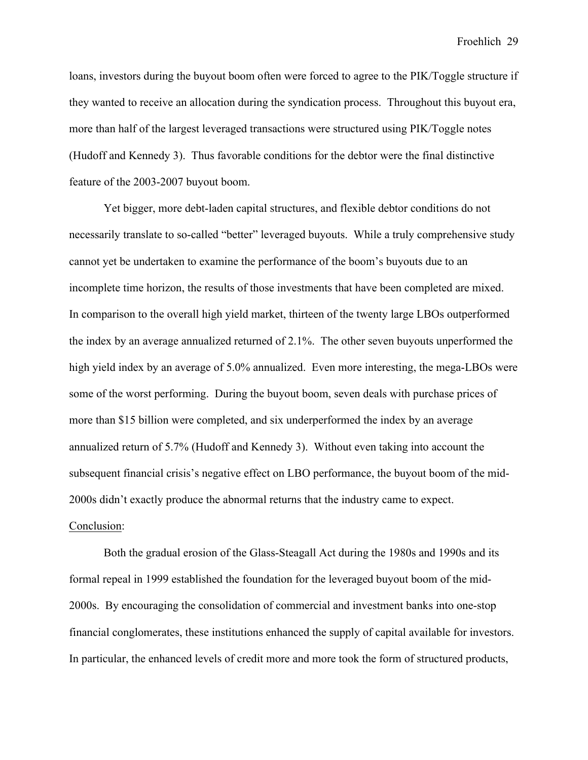loans, investors during the buyout boom often were forced to agree to the PIK/Toggle structure if they wanted to receive an allocation during the syndication process. Throughout this buyout era, more than half of the largest leveraged transactions were structured using PIK/Toggle notes (Hudoff and Kennedy 3). Thus favorable conditions for the debtor were the final distinctive feature of the 2003-2007 buyout boom.

Yet bigger, more debt-laden capital structures, and flexible debtor conditions do not necessarily translate to so-called "better" leveraged buyouts. While a truly comprehensive study cannot yet be undertaken to examine the performance of the boom's buyouts due to an incomplete time horizon, the results of those investments that have been completed are mixed. In comparison to the overall high yield market, thirteen of the twenty large LBOs outperformed the index by an average annualized returned of 2.1%. The other seven buyouts unperformed the high yield index by an average of 5.0% annualized. Even more interesting, the mega-LBOs were some of the worst performing. During the buyout boom, seven deals with purchase prices of more than \$15 billion were completed, and six underperformed the index by an average annualized return of 5.7% (Hudoff and Kennedy 3). Without even taking into account the subsequent financial crisis's negative effect on LBO performance, the buyout boom of the mid-2000s didn't exactly produce the abnormal returns that the industry came to expect. Conclusion:

Both the gradual erosion of the Glass-Steagall Act during the 1980s and 1990s and its formal repeal in 1999 established the foundation for the leveraged buyout boom of the mid-2000s. By encouraging the consolidation of commercial and investment banks into one-stop financial conglomerates, these institutions enhanced the supply of capital available for investors. In particular, the enhanced levels of credit more and more took the form of structured products,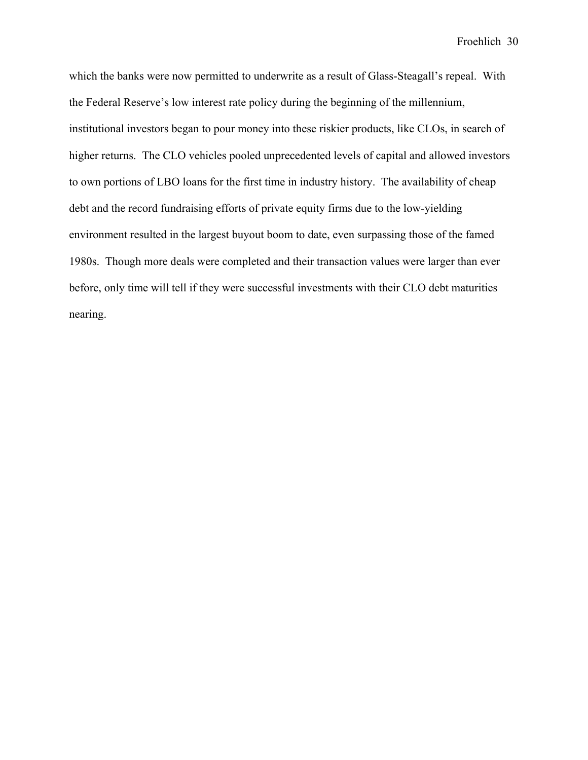which the banks were now permitted to underwrite as a result of Glass-Steagall's repeal. With the Federal Reserve's low interest rate policy during the beginning of the millennium, institutional investors began to pour money into these riskier products, like CLOs, in search of higher returns. The CLO vehicles pooled unprecedented levels of capital and allowed investors to own portions of LBO loans for the first time in industry history. The availability of cheap debt and the record fundraising efforts of private equity firms due to the low-yielding environment resulted in the largest buyout boom to date, even surpassing those of the famed 1980s. Though more deals were completed and their transaction values were larger than ever before, only time will tell if they were successful investments with their CLO debt maturities nearing.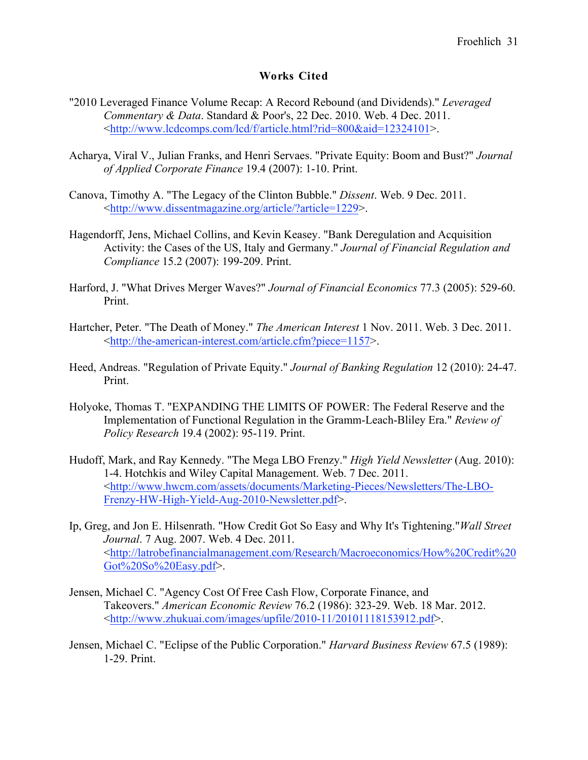# **Works Cited**

- "2010 Leveraged Finance Volume Recap: A Record Rebound (and Dividends)." *Leveraged Commentary & Data*. Standard & Poor's, 22 Dec. 2010. Web. 4 Dec. 2011. <http://www.lcdcomps.com/lcd/f/article.html?rid=800&aid=12324101>.
- Acharya, Viral V., Julian Franks, and Henri Servaes. "Private Equity: Boom and Bust?" *Journal of Applied Corporate Finance* 19.4 (2007): 1-10. Print.
- Canova, Timothy A. "The Legacy of the Clinton Bubble." *Dissent*. Web. 9 Dec. 2011. <http://www.dissentmagazine.org/article/?article=1229>.
- Hagendorff, Jens, Michael Collins, and Kevin Keasey. "Bank Deregulation and Acquisition Activity: the Cases of the US, Italy and Germany." *Journal of Financial Regulation and Compliance* 15.2 (2007): 199-209. Print.
- Harford, J. "What Drives Merger Waves?" *Journal of Financial Economics* 77.3 (2005): 529-60. Print.
- Hartcher, Peter. "The Death of Money." *The American Interest* 1 Nov. 2011. Web. 3 Dec. 2011. <http://the-american-interest.com/article.cfm?piece=1157>.
- Heed, Andreas. "Regulation of Private Equity." *Journal of Banking Regulation* 12 (2010): 24-47. Print.
- Holyoke, Thomas T. "EXPANDING THE LIMITS OF POWER: The Federal Reserve and the Implementation of Functional Regulation in the Gramm-Leach-Bliley Era." *Review of Policy Research* 19.4 (2002): 95-119. Print.
- Hudoff, Mark, and Ray Kennedy. "The Mega LBO Frenzy." *High Yield Newsletter* (Aug. 2010): 1-4. Hotchkis and Wiley Capital Management. Web. 7 Dec. 2011. <http://www.hwcm.com/assets/documents/Marketing-Pieces/Newsletters/The-LBO-Frenzy-HW-High-Yield-Aug-2010-Newsletter.pdf>.
- Ip, Greg, and Jon E. Hilsenrath. "How Credit Got So Easy and Why It's Tightening."*Wall Street Journal*. 7 Aug. 2007. Web. 4 Dec. 2011. <http://latrobefinancialmanagement.com/Research/Macroeconomics/How%20Credit%20 Got%20So%20Easy.pdf>.
- Jensen, Michael C. "Agency Cost Of Free Cash Flow, Corporate Finance, and Takeovers." *American Economic Review* 76.2 (1986): 323-29. Web. 18 Mar. 2012. <http://www.zhukuai.com/images/upfile/2010-11/20101118153912.pdf>.
- Jensen, Michael C. "Eclipse of the Public Corporation." *Harvard Business Review* 67.5 (1989): 1-29. Print.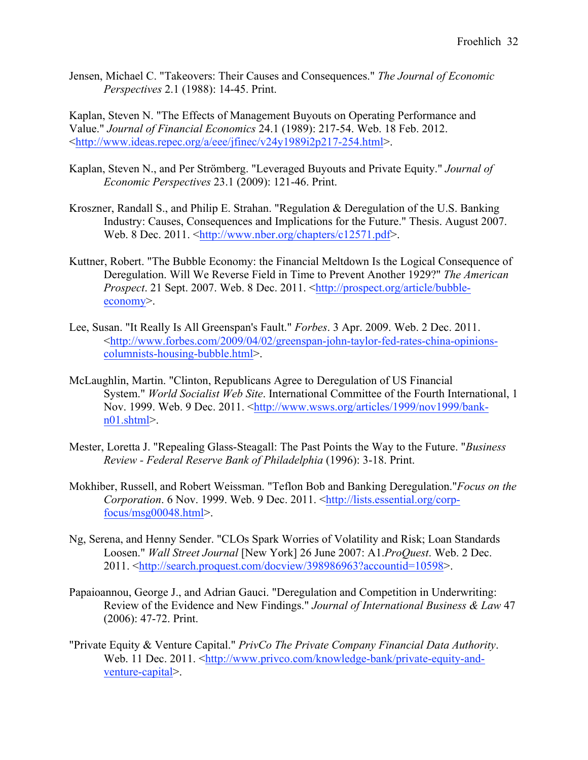Jensen, Michael C. "Takeovers: Their Causes and Consequences." *The Journal of Economic Perspectives* 2.1 (1988): 14-45. Print.

Kaplan, Steven N. "The Effects of Management Buyouts on Operating Performance and Value." *Journal of Financial Economics* 24.1 (1989): 217-54. Web. 18 Feb. 2012. <http://www.ideas.repec.org/a/eee/jfinec/v24y1989i2p217-254.html>.

- Kaplan, Steven N., and Per Strömberg. "Leveraged Buyouts and Private Equity." *Journal of Economic Perspectives* 23.1 (2009): 121-46. Print.
- Kroszner, Randall S., and Philip E. Strahan. "Regulation & Deregulation of the U.S. Banking Industry: Causes, Consequences and Implications for the Future." Thesis. August 2007. Web. 8 Dec. 2011. <http://www.nber.org/chapters/c12571.pdf>.
- Kuttner, Robert. "The Bubble Economy: the Financial Meltdown Is the Logical Consequence of Deregulation. Will We Reverse Field in Time to Prevent Another 1929?" *The American Prospect*. 21 Sept. 2007. Web. 8 Dec. 2011. <http://prospect.org/article/bubbleeconomy>.
- Lee, Susan. "It Really Is All Greenspan's Fault." *Forbes*. 3 Apr. 2009. Web. 2 Dec. 2011. <http://www.forbes.com/2009/04/02/greenspan-john-taylor-fed-rates-china-opinionscolumnists-housing-bubble.html>.
- McLaughlin, Martin. "Clinton, Republicans Agree to Deregulation of US Financial System." *World Socialist Web Site*. International Committee of the Fourth International, 1 Nov. 1999. Web. 9 Dec. 2011. <http://www.wsws.org/articles/1999/nov1999/bankn01.shtml>.
- Mester, Loretta J. "Repealing Glass-Steagall: The Past Points the Way to the Future. "*Business Review - Federal Reserve Bank of Philadelphia* (1996): 3-18. Print.
- Mokhiber, Russell, and Robert Weissman. "Teflon Bob and Banking Deregulation."*Focus on the Corporation.* 6 Nov. 1999. Web. 9 Dec. 2011. <http://lists.essential.org/corpfocus/msg00048.html>.
- Ng, Serena, and Henny Sender. "CLOs Spark Worries of Volatility and Risk; Loan Standards Loosen." *Wall Street Journal* [New York] 26 June 2007: A1.*ProQuest*. Web. 2 Dec. 2011. <http://search.proquest.com/docview/398986963?accountid=10598>.
- Papaioannou, George J., and Adrian Gauci. "Deregulation and Competition in Underwriting: Review of the Evidence and New Findings." *Journal of International Business & Law* 47 (2006): 47-72. Print.
- "Private Equity & Venture Capital." *PrivCo The Private Company Financial Data Authority*. Web. 11 Dec. 2011. <http://www.privco.com/knowledge-bank/private-equity-andventure-capital>.